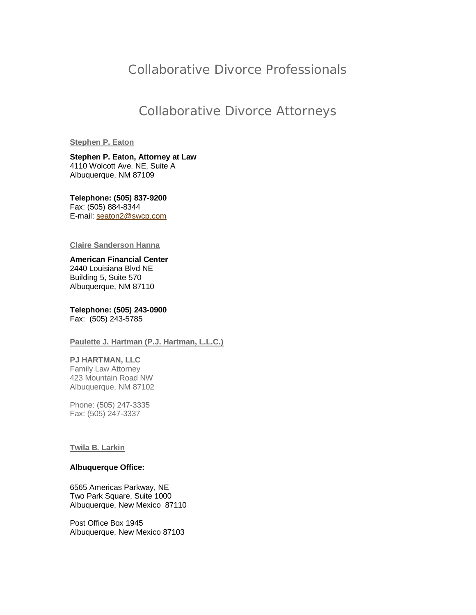## Collaborative Divorce Professionals

## Collaborative Divorce Attorneys

## **Stephen P. Eaton**

**Stephen P. Eaton, Attorney at Law** 4110 Wolcott Ave. NE, Suite A Albuquerque, NM 87109

**Telephone: (505) 837-9200** Fax: (505) 884-8344 E-mail: seaton2@swcp.com

#### **Claire Sanderson Hanna**

**American Financial Center** 2440 Louisiana Blvd NE Building 5, Suite 570 Albuquerque, NM 87110

**Telephone: (505) 243-0900** Fax: (505) 243-5785

### **Paulette J. Hartman (P.J. Hartman, L.L.C.)**

## **PJ HARTMAN, LLC**

Family Law Attorney 423 Mountain Road NW Albuquerque, NM 87102

Phone: (505) 247-3335 Fax: (505) 247-3337

#### **Twila B. Larkin**

#### **Albuquerque Office:**

6565 Americas Parkway, NE Two Park Square, Suite 1000 Albuquerque, New Mexico 87110

Post Office Box 1945 Albuquerque, New Mexico 87103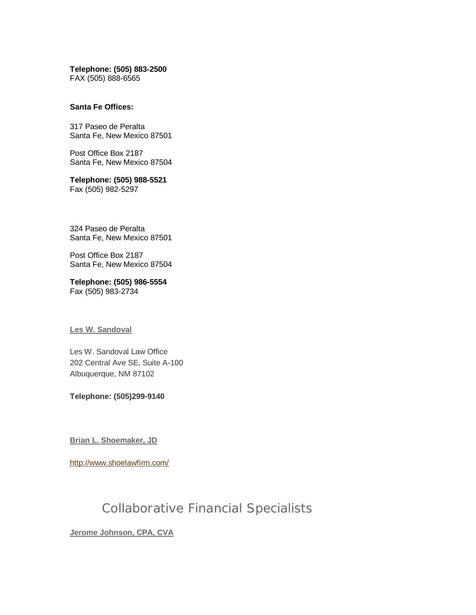**Telephone: (505) 883-2500** FAX (505) 888-6565

#### **Santa Fe Offices:**

317 Paseo de Peralta Santa Fe, New Mexico 87501

Post Office Box 2187 Santa Fe, New Mexico 87504

**Telephone: (505) 988-5521** Fax (505) 982-5297

324 Paseo de Peralta Santa Fe, New Mexico 87501

Post Office Box 2187 Santa Fe, New Mexico 87504

**Telephone: (505) 986-5554** Fax (505) 983-2734

#### **Les W. Sandoval**

Les W. Sandoval Law Office 202 Central Ave SE, Suite A-100 Albuquerque, NM 87102

**Telephone: (505)299-9140**

**Brian L. Shoemaker, JD**

http://www.shoelawfirm.com/

# Collaborative Financial Specialists

**Jerome Johnson, CPA, CVA**